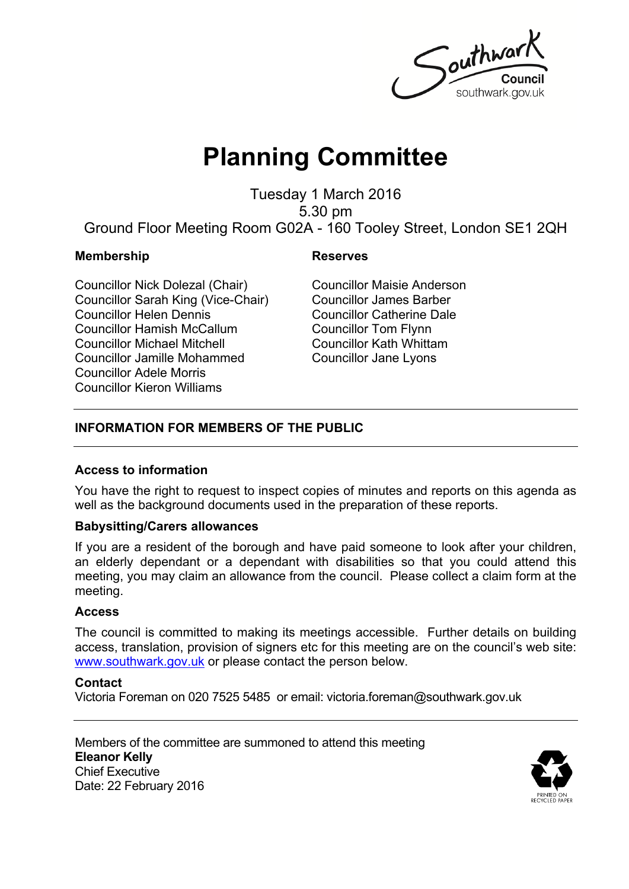Southwar southwark.gov.uk

# **Planning Committee**

Tuesday 1 March 2016 5.30 pm Ground Floor Meeting Room G02A - 160 Tooley Street, London SE1 2QH

#### **Membership Reserves**

Councillor Nick Dolezal (Chair) Councillor Sarah King (Vice-Chair) Councillor Helen Dennis Councillor Hamish McCallum Councillor Michael Mitchell Councillor Jamille Mohammed Councillor Adele Morris Councillor Kieron Williams

Councillor Maisie Anderson Councillor James Barber Councillor Catherine Dale Councillor Tom Flynn Councillor Kath Whittam Councillor Jane Lyons

### **INFORMATION FOR MEMBERS OF THE PUBLIC**

### **Access to information**

You have the right to request to inspect copies of minutes and reports on this agenda as well as the background documents used in the preparation of these reports.

#### **Babysitting/Carers allowances**

If you are a resident of the borough and have paid someone to look after your children, an elderly dependant or a dependant with disabilities so that you could attend this meeting, you may claim an allowance from the council. Please collect a claim form at the meeting.

#### **Access**

The council is committed to making its meetings accessible. Further details on building access, translation, provision of signers etc for this meeting are on the council's web site: [www.southwark.gov.uk](http://www.southwark.gov.uk/Public/Home.aspx) or please contact the person below.

#### **Contact**

Victoria Foreman on 020 7525 5485 or email: victoria.foreman@southwark.gov.uk

Members of the committee are summoned to attend this meeting **Eleanor Kelly** Chief Executive Date: 22 February 2016

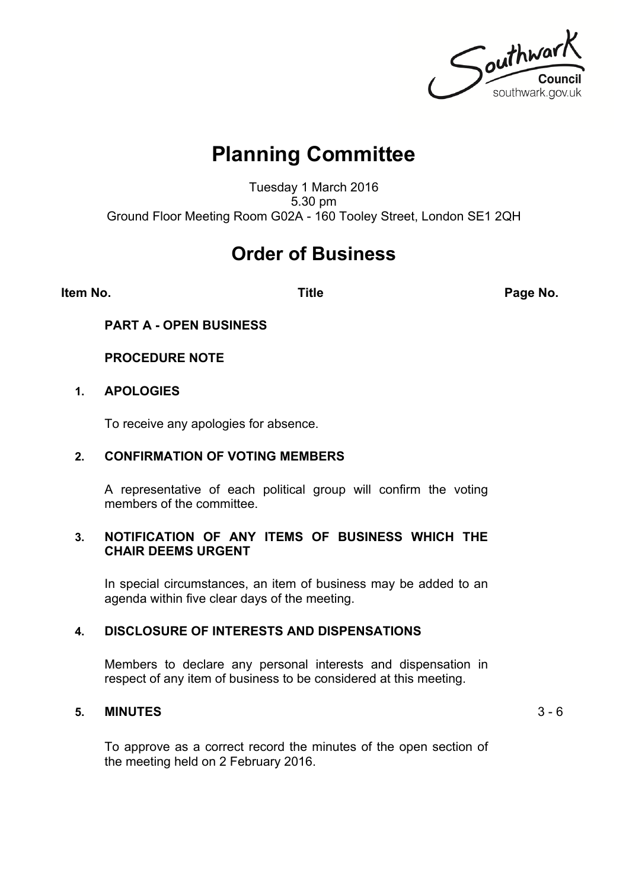Southwark southwark.gov.uk

## **Planning Committee**

Tuesday 1 March 2016 5.30 pm Ground Floor Meeting Room G02A - 160 Tooley Street, London SE1 2QH

## **Order of Business**

**Item No. Title Page No.**

#### **PART A - OPEN BUSINESS**

#### **PROCEDURE NOTE**

#### **1. APOLOGIES**

To receive any apologies for absence.

#### **2. CONFIRMATION OF VOTING MEMBERS**

A representative of each political group will confirm the voting members of the committee.

#### **3. NOTIFICATION OF ANY ITEMS OF BUSINESS WHICH THE CHAIR DEEMS URGENT**

In special circumstances, an item of business may be added to an agenda within five clear days of the meeting.

#### **4. DISCLOSURE OF INTERESTS AND DISPENSATIONS**

Members to declare any personal interests and dispensation in respect of any item of business to be considered at this meeting.

#### **5. MINUTES** 3 - 6

To approve as a correct record the minutes of the open section of the meeting held on 2 February 2016.